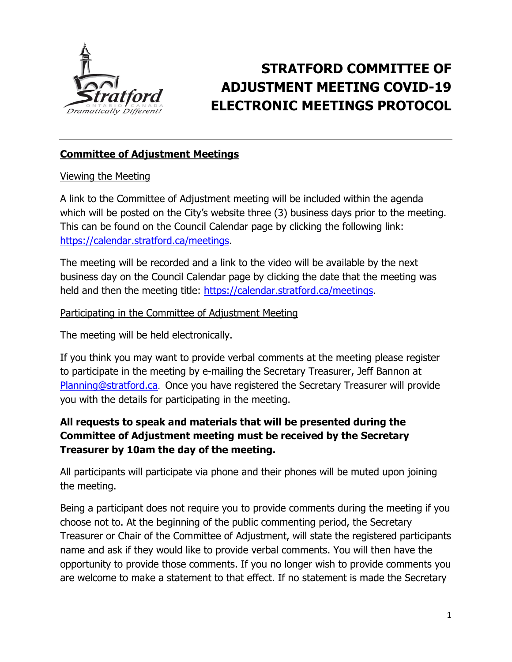

# **STRATFORD COMMITTEE OF ADJUSTMENT MEETING COVID-19 ELECTRONIC MEETINGS PROTOCOL**

## **Committee of Adjustment Meetings**

## Viewing the Meeting

A link to the Committee of Adjustment meeting will be included within the agenda which will be posted on the City's website three (3) business days prior to the meeting. This can be found on the Council Calendar page by clicking the following link: [https://calendar.stratford.ca/meetings.](https://calendar.stratford.ca/meetings)

The meeting will be recorded and a link to the video will be available by the next business day on the Council Calendar page by clicking the date that the meeting was held and then the meeting title: [https://calendar.stratford.ca/meetings.](https://calendar.stratford.ca/meetings)

#### Participating in the Committee of Adjustment Meeting

The meeting will be held electronically.

If you think you may want to provide verbal comments at the meeting please register to participate in the meeting by e-mailing the Secretary Treasurer, Jeff Bannon at [Planning@stratford.ca](mailto:Planning@stratford.ca). Once you have registered the Secretary Treasurer will provide you with the details for participating in the meeting.

## **All requests to speak and materials that will be presented during the Committee of Adjustment meeting must be received by the Secretary Treasurer by 10am the day of the meeting.**

All participants will participate via phone and their phones will be muted upon joining the meeting.

Being a participant does not require you to provide comments during the meeting if you choose not to. At the beginning of the public commenting period, the Secretary Treasurer or Chair of the Committee of Adjustment, will state the registered participants name and ask if they would like to provide verbal comments. You will then have the opportunity to provide those comments. If you no longer wish to provide comments you are welcome to make a statement to that effect. If no statement is made the Secretary